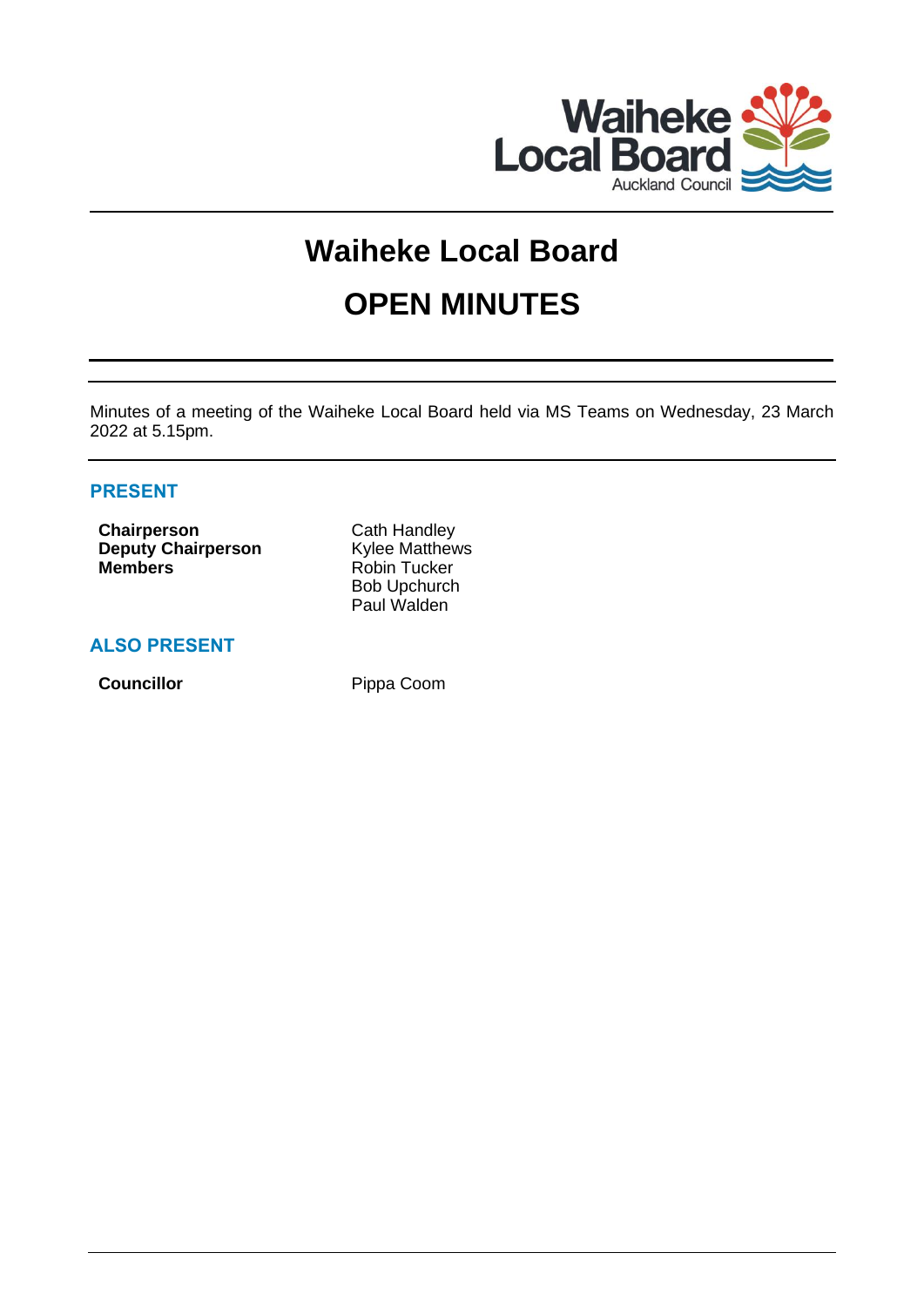

# **Waiheke Local Board OPEN MINUTES**

Minutes of a meeting of the Waiheke Local Board held via MS Teams on Wednesday, 23 March 2022 at 5.15pm.

# **PRESENT**

**Chairperson** Cath Handley **Deputy Chairperson** Kylee Matthews **Members** Robin Tucker

Bob Upchurch Paul Walden

# **ALSO PRESENT**

**Councillor** Pippa Coom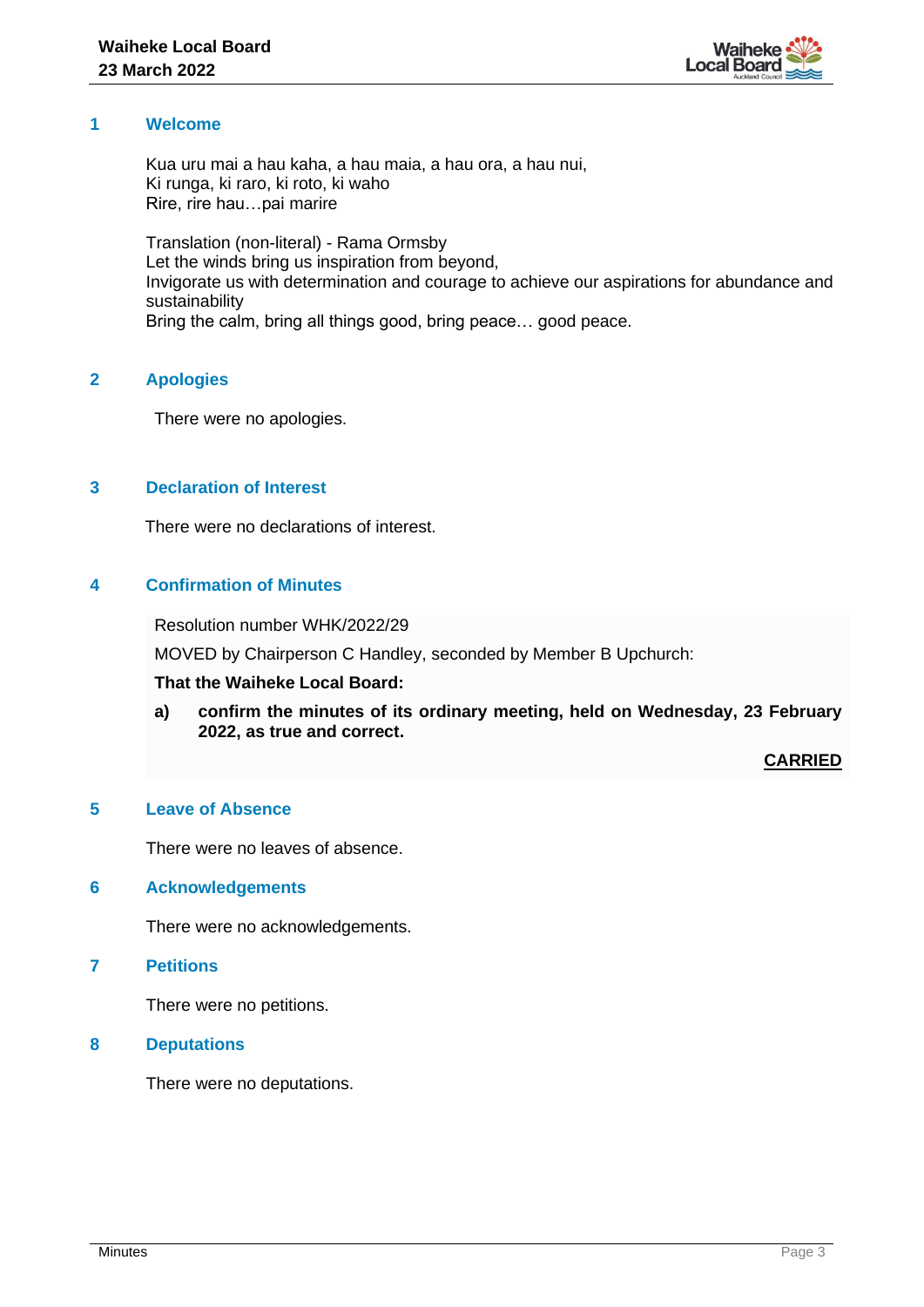

# **1 Welcome**

Kua uru mai a hau kaha, a hau maia, a hau ora, a hau nui, Ki runga, ki raro, ki roto, ki waho Rire, rire hau…pai marire

Translation (non-literal) - Rama Ormsby Let the winds bring us inspiration from beyond, Invigorate us with determination and courage to achieve our aspirations for abundance and sustainability Bring the calm, bring all things good, bring peace… good peace.

# **2 Apologies**

There were no apologies.

# **3 Declaration of Interest**

There were no declarations of interest.

# **4 Confirmation of Minutes**

Resolution number WHK/2022/29

MOVED by Chairperson C Handley, seconded by Member B Upchurch:

## **That the Waiheke Local Board:**

**a) confirm the minutes of its ordinary meeting, held on Wednesday, 23 February 2022, as true and correct.**

**CARRIED**

# **5 Leave of Absence**

There were no leaves of absence.

## **6 Acknowledgements**

There were no acknowledgements.

# **7 Petitions**

There were no petitions.

# **8 Deputations**

There were no deputations.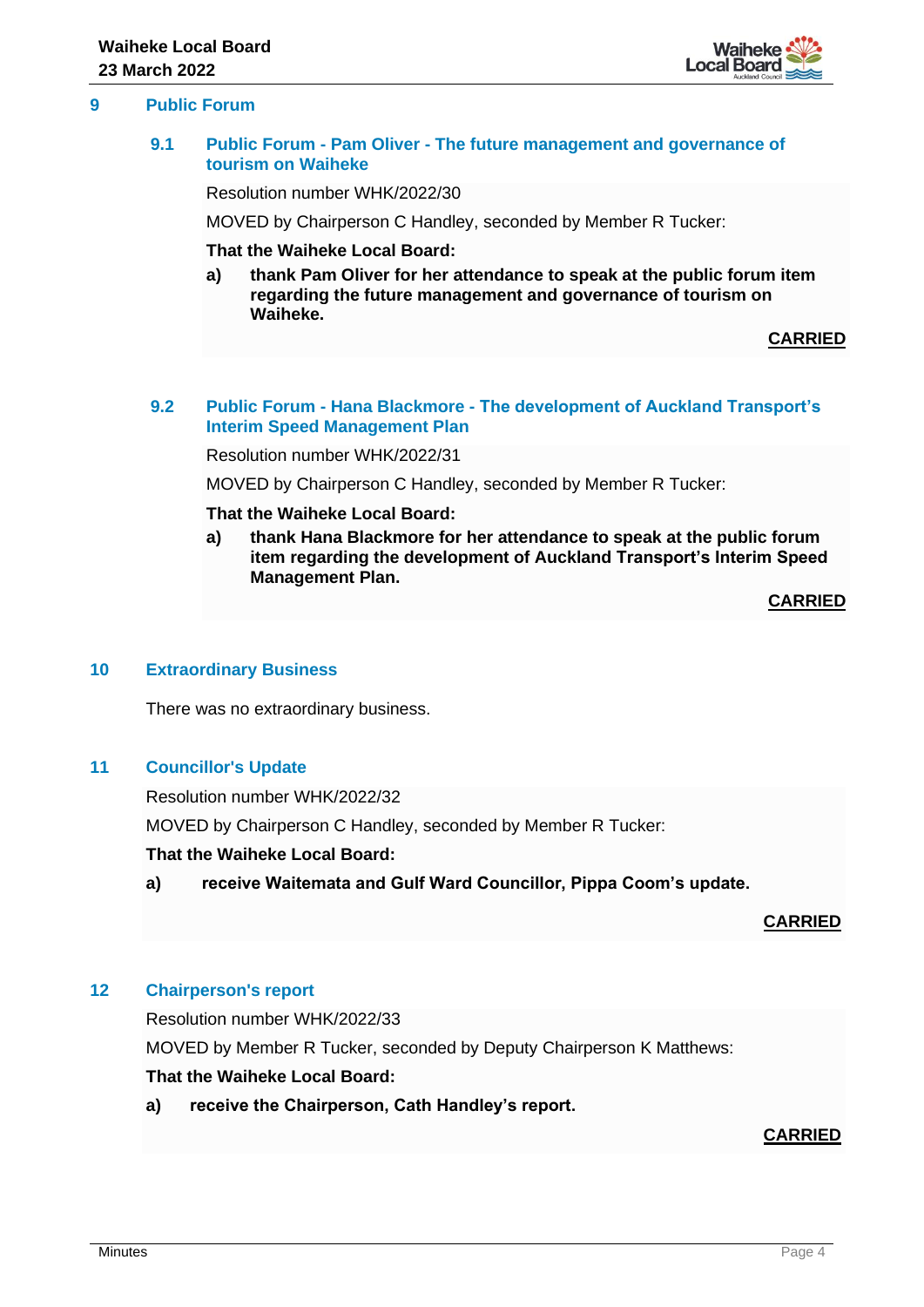

# **9 Public Forum**

## **9.1 Public Forum - Pam Oliver - The future management and governance of tourism on Waiheke**

Resolution number WHK/2022/30

MOVED by Chairperson C Handley, seconded by Member R Tucker:

# **That the Waiheke Local Board:**

**a) thank Pam Oliver for her attendance to speak at the public forum item regarding the future management and governance of tourism on Waiheke.**

## **CARRIED**

## **9.2 Public Forum - Hana Blackmore - The development of Auckland Transport's Interim Speed Management Plan**

Resolution number WHK/2022/31

MOVED by Chairperson C Handley, seconded by Member R Tucker:

#### **That the Waiheke Local Board:**

**a) thank Hana Blackmore for her attendance to speak at the public forum item regarding the development of Auckland Transport's Interim Speed Management Plan.**

**CARRIED**

## **10 Extraordinary Business**

There was no extraordinary business.

## **11 Councillor's Update**

Resolution number WHK/2022/32 MOVED by Chairperson C Handley, seconded by Member R Tucker:

## **That the Waiheke Local Board:**

**a) receive Waitemata and Gulf Ward Councillor, Pippa Coom's update.**

## **CARRIED**

# **12 Chairperson's report**

Resolution number WHK/2022/33 MOVED by Member R Tucker, seconded by Deputy Chairperson K Matthews: **That the Waiheke Local Board:**

# **a) receive the Chairperson, Cath Handley's report.**

# **CARRIED**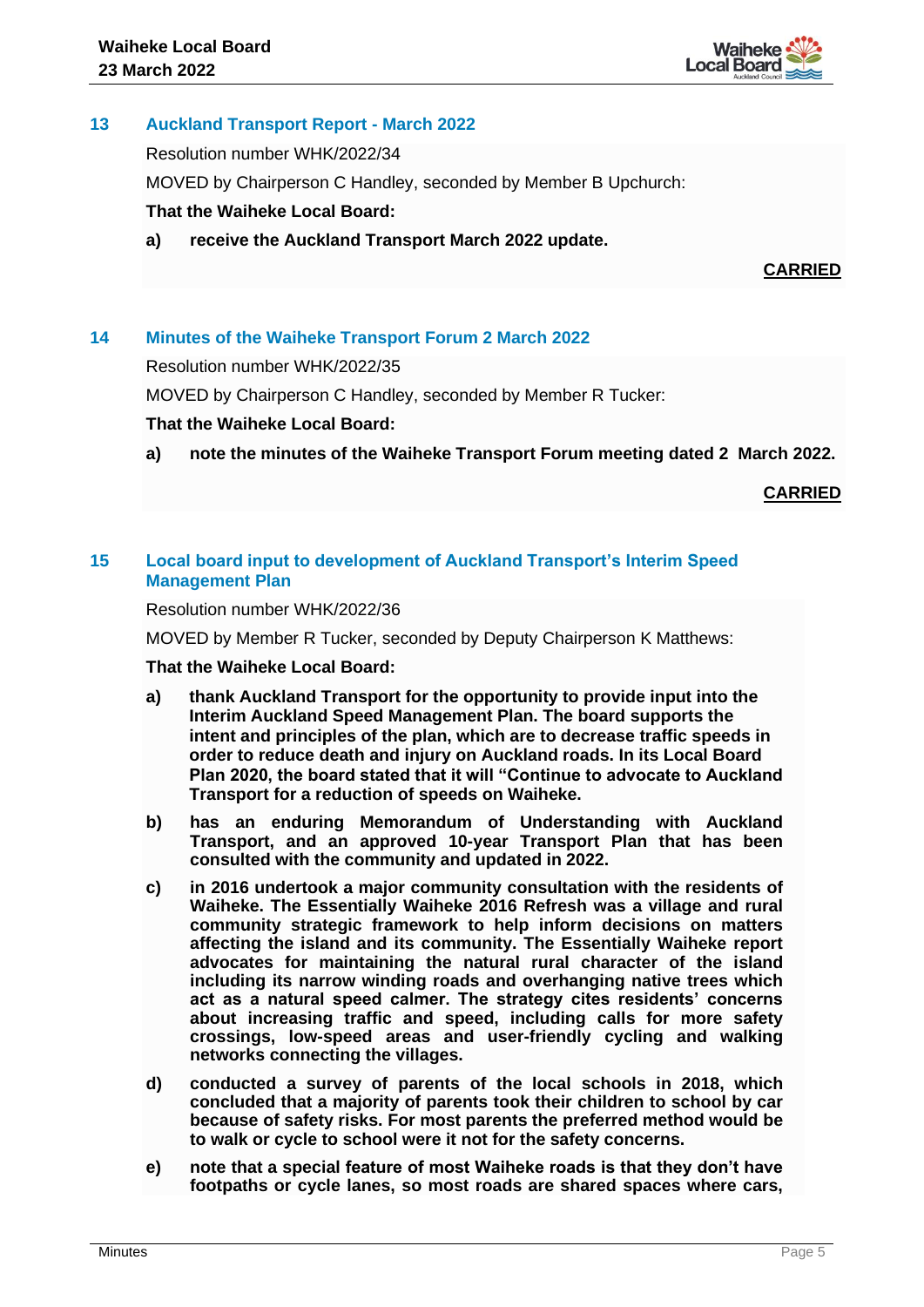

# **13 Auckland Transport Report - March 2022**

Resolution number WHK/2022/34

MOVED by Chairperson C Handley, seconded by Member B Upchurch:

# **That the Waiheke Local Board:**

**a) receive the Auckland Transport March 2022 update.**

**CARRIED**

# **14 Minutes of the Waiheke Transport Forum 2 March 2022**

Resolution number WHK/2022/35

MOVED by Chairperson C Handley, seconded by Member R Tucker:

## **That the Waiheke Local Board:**

**a) note the minutes of the Waiheke Transport Forum meeting dated 2 March 2022.**

**CARRIED**

# **15 Local board input to development of Auckland Transport's Interim Speed Management Plan**

Resolution number WHK/2022/36

MOVED by Member R Tucker, seconded by Deputy Chairperson K Matthews:

## **That the Waiheke Local Board:**

- **a) thank Auckland Transport for the opportunity to provide input into the Interim Auckland Speed Management Plan. The board supports the intent and principles of the plan, which are to decrease traffic speeds in order to reduce death and injury on Auckland roads. In its Local Board Plan 2020, the board stated that it will "Continue to advocate to Auckland Transport for a reduction of speeds on Waiheke.**
- **b) has an enduring Memorandum of Understanding with Auckland Transport, and an approved 10-year Transport Plan that has been consulted with the community and updated in 2022.**
- **c) in 2016 undertook a major community consultation with the residents of Waiheke. The Essentially Waiheke 2016 Refresh was a village and rural community strategic framework to help inform decisions on matters affecting the island and its community. The Essentially Waiheke report advocates for maintaining the natural rural character of the island including its narrow winding roads and overhanging native trees which act as a natural speed calmer. The strategy cites residents' concerns about increasing traffic and speed, including calls for more safety crossings, low-speed areas and user-friendly cycling and walking networks connecting the villages.**
- **d) conducted a survey of parents of the local schools in 2018, which concluded that a majority of parents took their children to school by car because of safety risks. For most parents the preferred method would be to walk or cycle to school were it not for the safety concerns.**
- **e) note that a special feature of most Waiheke roads is that they don't have footpaths or cycle lanes, so most roads are shared spaces where cars,**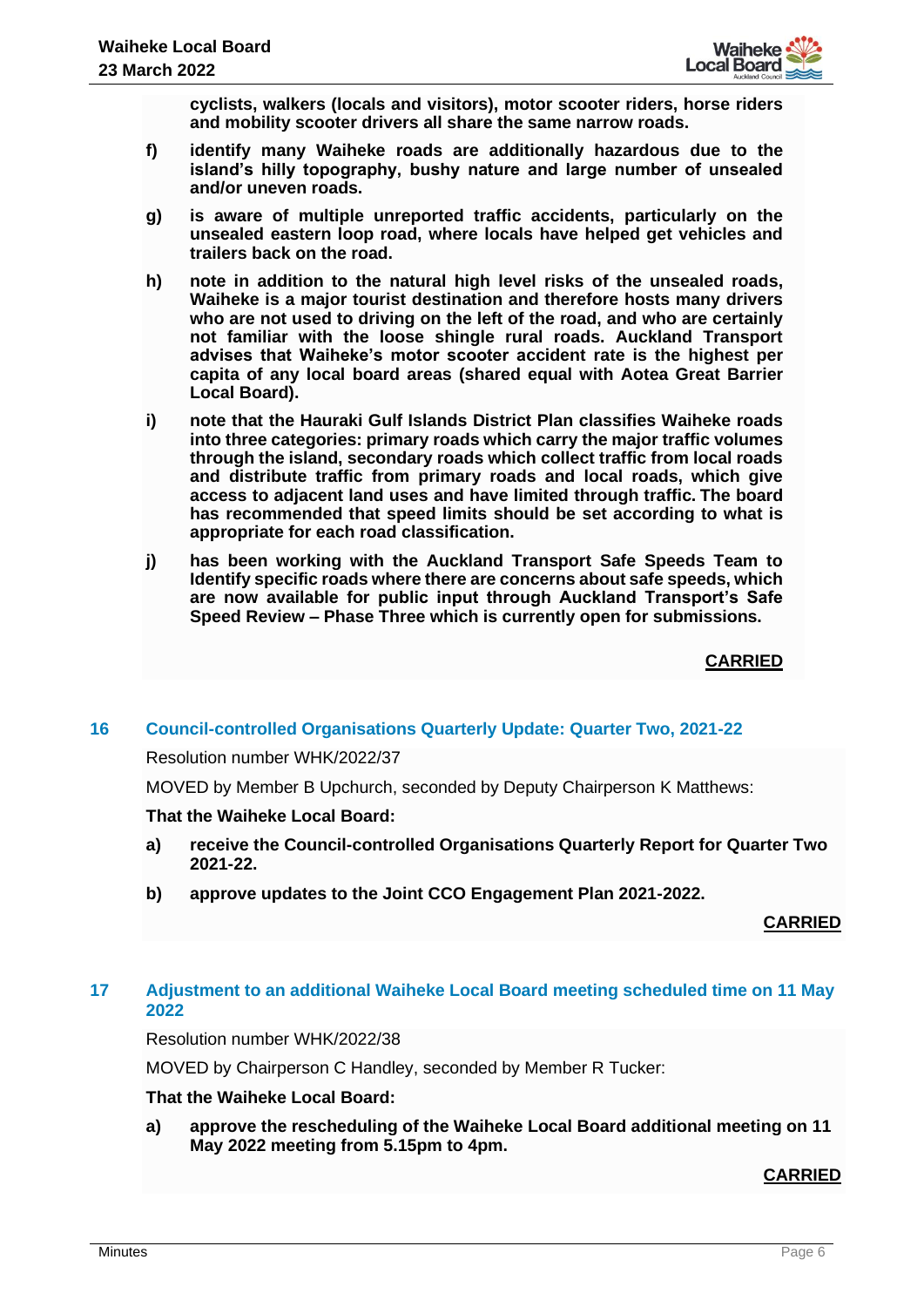

**cyclists, walkers (locals and visitors), motor scooter riders, horse riders and mobility scooter drivers all share the same narrow roads.** 

- **f) identify many Waiheke roads are additionally hazardous due to the island's hilly topography, bushy nature and large number of unsealed and/or uneven roads.**
- **g) is aware of multiple unreported traffic accidents, particularly on the unsealed eastern loop road, where locals have helped get vehicles and trailers back on the road.**
- **h) note in addition to the natural high level risks of the unsealed roads, Waiheke is a major tourist destination and therefore hosts many drivers who are not used to driving on the left of the road, and who are certainly not familiar with the loose shingle rural roads. Auckland Transport advises that Waiheke's motor scooter accident rate is the highest per capita of any local board areas (shared equal with Aotea Great Barrier Local Board).**
- **i) note that the Hauraki Gulf Islands District Plan classifies Waiheke roads into three categories: primary roads which carry the major traffic volumes through the island, secondary roads which collect traffic from local roads and distribute traffic from primary roads and local roads, which give access to adjacent land uses and have limited through traffic. The board has recommended that speed limits should be set according to what is appropriate for each road classification.**
- **j) has been working with the Auckland Transport Safe Speeds Team to Identify specific roads where there are concerns about safe speeds, which are now available for public input through Auckland Transport's Safe Speed Review – Phase Three which is currently open for submissions.**

**CARRIED**

# **16 Council-controlled Organisations Quarterly Update: Quarter Two, 2021-22**

## Resolution number WHK/2022/37

MOVED by Member B Upchurch, seconded by Deputy Chairperson K Matthews:

## **That the Waiheke Local Board:**

- **a) receive the Council-controlled Organisations Quarterly Report for Quarter Two 2021-22.**
- **b) approve updates to the Joint CCO Engagement Plan 2021-2022.**

# **CARRIED**

# **17 Adjustment to an additional Waiheke Local Board meeting scheduled time on 11 May 2022**

Resolution number WHK/2022/38

MOVED by Chairperson C Handley, seconded by Member R Tucker:

## **That the Waiheke Local Board:**

**a) approve the rescheduling of the Waiheke Local Board additional meeting on 11 May 2022 meeting from 5.15pm to 4pm.**

# **CARRIED**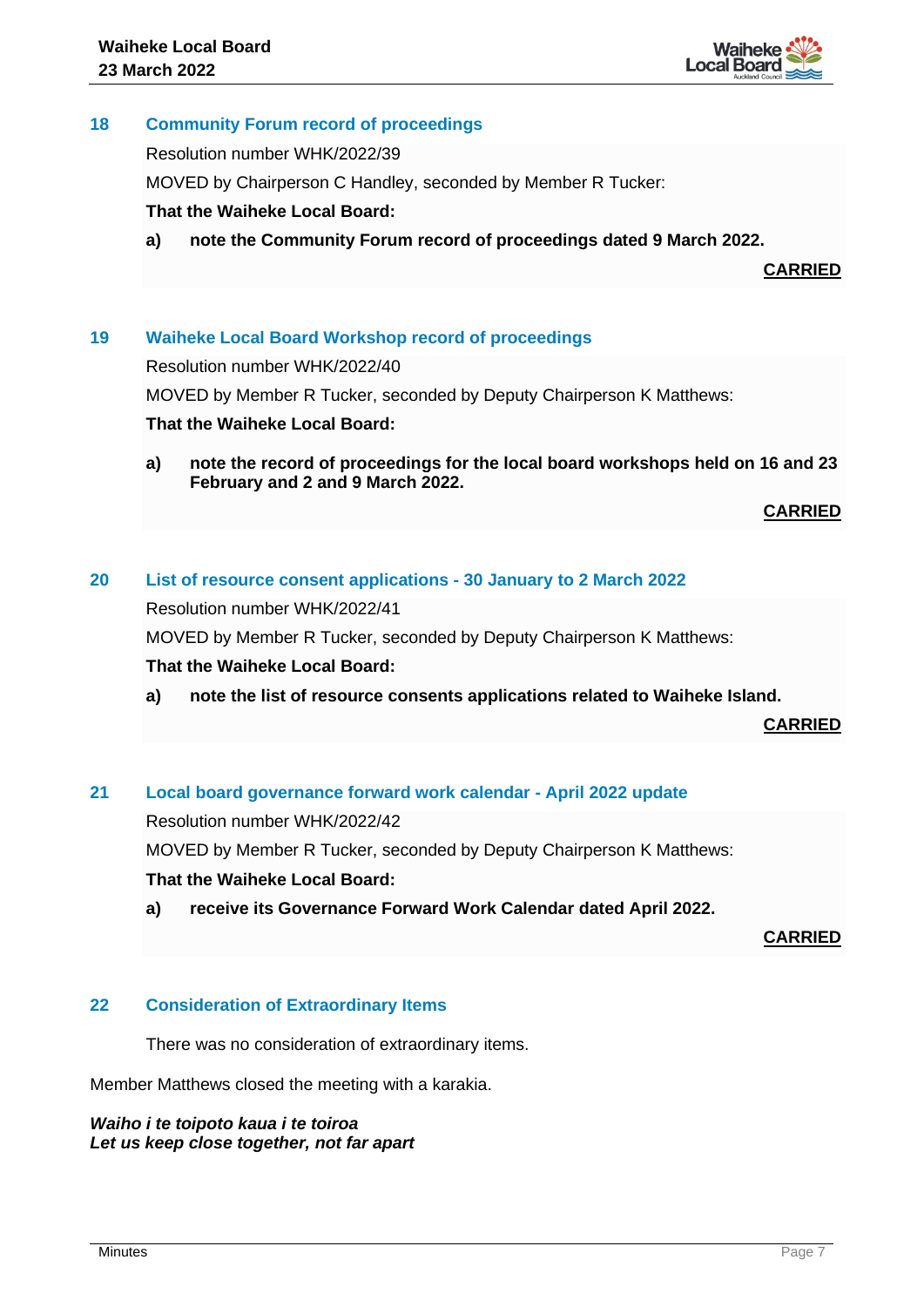

# **18 Community Forum record of proceedings**

Resolution number WHK/2022/39

MOVED by Chairperson C Handley, seconded by Member R Tucker:

# **That the Waiheke Local Board:**

**a) note the Community Forum record of proceedings dated 9 March 2022.**

**CARRIED**

# **19 Waiheke Local Board Workshop record of proceedings**

Resolution number WHK/2022/40

MOVED by Member R Tucker, seconded by Deputy Chairperson K Matthews:

## **That the Waiheke Local Board:**

**a) note the record of proceedings for the local board workshops held on 16 and 23 February and 2 and 9 March 2022.** 

**CARRIED**

## **20 List of resource consent applications - 30 January to 2 March 2022**

Resolution number WHK/2022/41

MOVED by Member R Tucker, seconded by Deputy Chairperson K Matthews:

## **That the Waiheke Local Board:**

**a) note the list of resource consents applications related to Waiheke Island.** 

**CARRIED**

# **21 Local board governance forward work calendar - April 2022 update**

Resolution number WHK/2022/42

MOVED by Member R Tucker, seconded by Deputy Chairperson K Matthews:

# **That the Waiheke Local Board:**

**a) receive its Governance Forward Work Calendar dated April 2022.**

**CARRIED**

# **22 Consideration of Extraordinary Items**

There was no consideration of extraordinary items.

Member Matthews closed the meeting with a karakia.

*Waiho i te toipoto kaua i te toiroa Let us keep close together, not far apart*